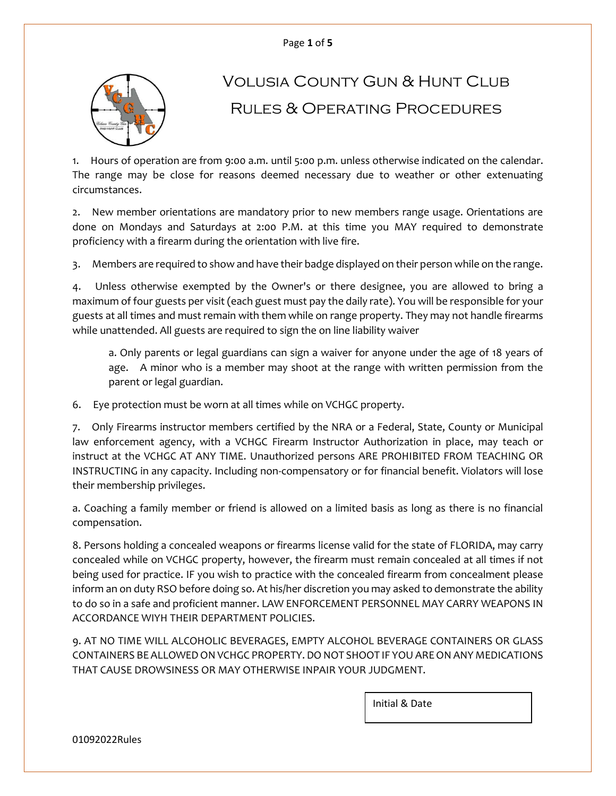

# Volusia County Gun & Hunt Club Rules & Operating Procedures

1. Hours of operation are from 9:00 a.m. until 5:00 p.m. unless otherwise indicated on the calendar. The range may be close for reasons deemed necessary due to weather or other extenuating circumstances.

2. New member orientations are mandatory prior to new members range usage. Orientations are done on Mondays and Saturdays at 2:00 P.M. at this time you MAY required to demonstrate proficiency with a firearm during the orientation with live fire.

3. Members are required to show and have their badge displayed on their person while on the range.

4. Unless otherwise exempted by the Owner's or there designee, you are allowed to bring a maximum of four guests per visit (each guest must pay the daily rate). You will be responsible for your guests at all times and must remain with them while on range property. They may not handle firearms while unattended. All guests are required to sign the on line liability waiver

a. Only parents or legal guardians can sign a waiver for anyone under the age of 18 years of age. A minor who is a member may shoot at the range with written permission from the parent or legal guardian.

6. Eye protection must be worn at all times while on VCHGC property.

7. Only Firearms instructor members certified by the NRA or a Federal, State, County or Municipal law enforcement agency, with a VCHGC Firearm Instructor Authorization in place, may teach or instruct at the VCHGC AT ANY TIME. Unauthorized persons ARE PROHIBITED FROM TEACHING OR INSTRUCTING in any capacity. Including non-compensatory or for financial benefit. Violators will lose their membership privileges.

a. Coaching a family member or friend is allowed on a limited basis as long as there is no financial compensation.

8. Persons holding a concealed weapons or firearms license valid for the state of FLORIDA, may carry concealed while on VCHGC property, however, the firearm must remain concealed at all times if not being used for practice. IF you wish to practice with the concealed firearm from concealment please inform an on duty RSO before doing so. At his/her discretion you may asked to demonstrate the ability to do so in a safe and proficient manner. LAW ENFORCEMENT PERSONNEL MAY CARRY WEAPONS IN ACCORDANCE WIYH THEIR DEPARTMENT POLICIES.

9. AT NO TIME WILL ALCOHOLIC BEVERAGES, EMPTY ALCOHOL BEVERAGE CONTAINERS OR GLASS CONTAINERS BE ALLOWED ON VCHGC PROPERTY. DO NOT SHOOT IF YOU ARE ON ANY MEDICATIONS THAT CAUSE DROWSINESS OR MAY OTHERWISE INPAIR YOUR JUDGMENT.

Initial & Date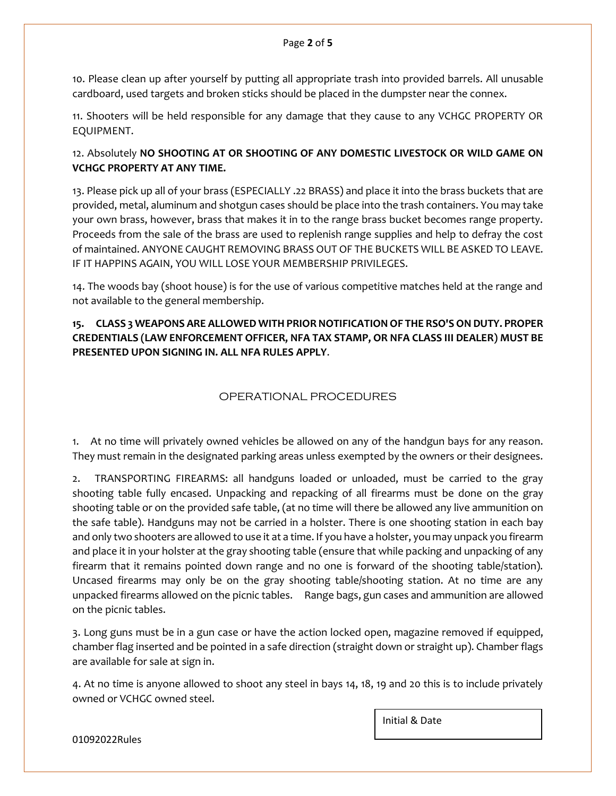10. Please clean up after yourself by putting all appropriate trash into provided barrels. All unusable cardboard, used targets and broken sticks should be placed in the dumpster near the connex.

11. Shooters will be held responsible for any damage that they cause to any VCHGC PROPERTY OR EQUIPMENT.

## 12. Absolutely **NO SHOOTING AT OR SHOOTING OF ANY DOMESTIC LIVESTOCK OR WILD GAME ON VCHGC PROPERTY AT ANY TIME.**

13. Please pick up all of your brass (ESPECIALLY .22 BRASS) and place it into the brass buckets that are provided, metal, aluminum and shotgun cases should be place into the trash containers. You may take your own brass, however, brass that makes it in to the range brass bucket becomes range property. Proceeds from the sale of the brass are used to replenish range supplies and help to defray the cost of maintained. ANYONE CAUGHT REMOVING BRASS OUT OF THE BUCKETS WILL BE ASKED TO LEAVE. IF IT HAPPINS AGAIN, YOU WILL LOSE YOUR MEMBERSHIP PRIVILEGES.

14. The woods bay (shoot house) is for the use of various competitive matches held at the range and not available to the general membership.

## **15. CLASS 3 WEAPONS ARE ALLOWED WITH PRIOR NOTIFICATION OF THE RSO'S ON DUTY. PROPER CREDENTIALS (LAW ENFORCEMENT OFFICER, NFA TAX STAMP, OR NFA CLASS III DEALER) MUST BE PRESENTED UPON SIGNING IN. ALL NFA RULES APPLY**.

## OPERATIONAL PROCEDURES

1. At no time will privately owned vehicles be allowed on any of the handgun bays for any reason. They must remain in the designated parking areas unless exempted by the owners or their designees.

2. TRANSPORTING FIREARMS: all handguns loaded or unloaded, must be carried to the gray shooting table fully encased. Unpacking and repacking of all firearms must be done on the gray shooting table or on the provided safe table, (at no time will there be allowed any live ammunition on the safe table). Handguns may not be carried in a holster. There is one shooting station in each bay and only two shooters are allowed to use it at a time. If you have a holster, you may unpack you firearm and place it in your holster at the gray shooting table (ensure that while packing and unpacking of any firearm that it remains pointed down range and no one is forward of the shooting table/station). Uncased firearms may only be on the gray shooting table/shooting station. At no time are any unpacked firearms allowed on the picnic tables. Range bags, gun cases and ammunition are allowed on the picnic tables.

3. Long guns must be in a gun case or have the action locked open, magazine removed if equipped, chamber flag inserted and be pointed in a safe direction (straight down or straight up). Chamber flags are available for sale at sign in.

4. At no time is anyone allowed to shoot any steel in bays 14, 18, 19 and 20 this is to include privately owned or VCHGC owned steel.

Initial & Date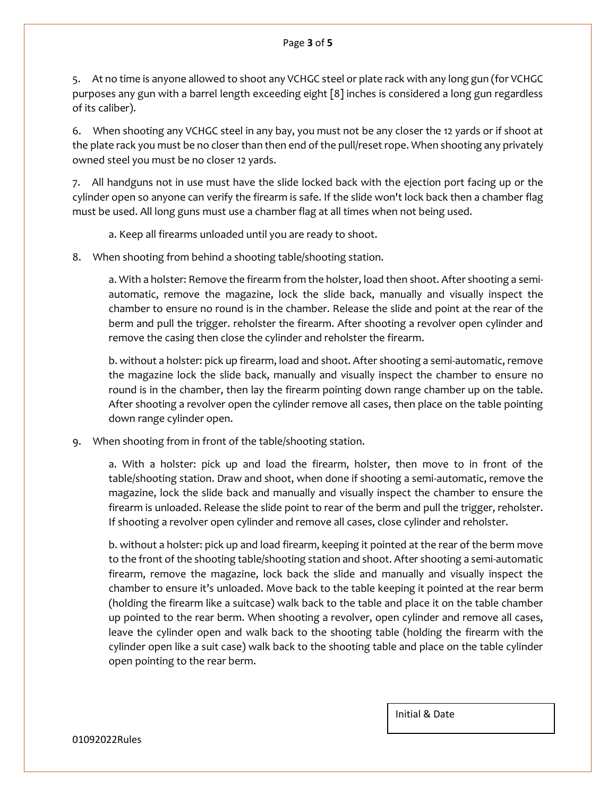#### Page **3** of **5**

5. At no time is anyone allowed to shoot any VCHGC steel or plate rack with any long gun (for VCHGC purposes any gun with a barrel length exceeding eight [8] inches is considered a long gun regardless of its caliber).

6. When shooting any VCHGC steel in any bay, you must not be any closer the 12 yards or if shoot at the plate rack you must be no closer than then end of the pull/reset rope. When shooting any privately owned steel you must be no closer 12 yards.

7. All handguns not in use must have the slide locked back with the ejection port facing up or the cylinder open so anyone can verify the firearm is safe. If the slide won't lock back then a chamber flag must be used. All long guns must use a chamber flag at all times when not being used.

a. Keep all firearms unloaded until you are ready to shoot.

8. When shooting from behind a shooting table/shooting station.

a. With a holster: Remove the firearm from the holster, load then shoot. After shooting a semiautomatic, remove the magazine, lock the slide back, manually and visually inspect the chamber to ensure no round is in the chamber. Release the slide and point at the rear of the berm and pull the trigger. reholster the firearm. After shooting a revolver open cylinder and remove the casing then close the cylinder and reholster the firearm.

b. without a holster: pick up firearm, load and shoot. After shooting a semi-automatic, remove the magazine lock the slide back, manually and visually inspect the chamber to ensure no round is in the chamber, then lay the firearm pointing down range chamber up on the table. After shooting a revolver open the cylinder remove all cases, then place on the table pointing down range cylinder open.

9. When shooting from in front of the table/shooting station.

a. With a holster: pick up and load the firearm, holster, then move to in front of the table/shooting station. Draw and shoot, when done if shooting a semi-automatic, remove the magazine, lock the slide back and manually and visually inspect the chamber to ensure the firearm is unloaded. Release the slide point to rear of the berm and pull the trigger, reholster. If shooting a revolver open cylinder and remove all cases, close cylinder and reholster.

b. without a holster: pick up and load firearm, keeping it pointed at the rear of the berm move to the front of the shooting table/shooting station and shoot. After shooting a semi-automatic firearm, remove the magazine, lock back the slide and manually and visually inspect the chamber to ensure it's unloaded. Move back to the table keeping it pointed at the rear berm (holding the firearm like a suitcase) walk back to the table and place it on the table chamber up pointed to the rear berm. When shooting a revolver, open cylinder and remove all cases, leave the cylinder open and walk back to the shooting table (holding the firearm with the cylinder open like a suit case) walk back to the shooting table and place on the table cylinder open pointing to the rear berm.

Initial & Date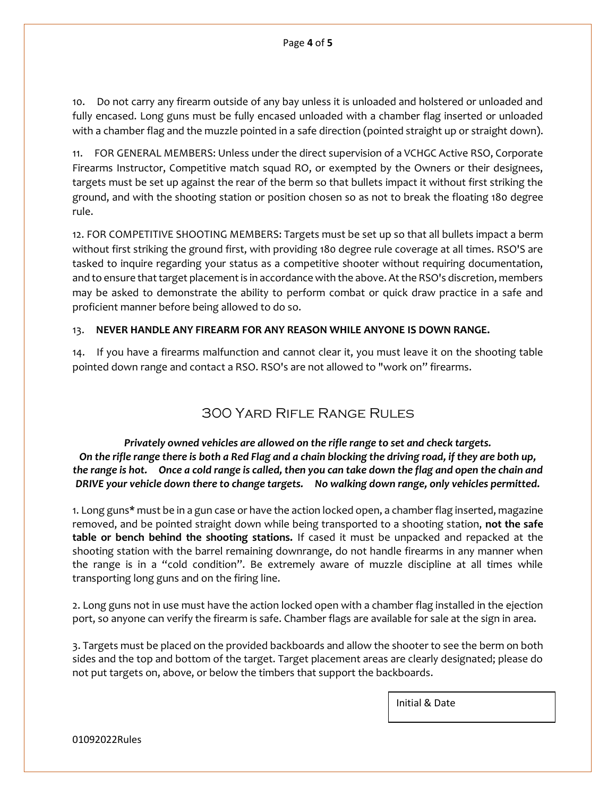10. Do not carry any firearm outside of any bay unless it is unloaded and holstered or unloaded and fully encased. Long guns must be fully encased unloaded with a chamber flag inserted or unloaded with a chamber flag and the muzzle pointed in a safe direction (pointed straight up or straight down).

11. FOR GENERAL MEMBERS: Unless under the direct supervision of a VCHGC Active RSO, Corporate Firearms Instructor, Competitive match squad RO, or exempted by the Owners or their designees, targets must be set up against the rear of the berm so that bullets impact it without first striking the ground, and with the shooting station or position chosen so as not to break the floating 180 degree rule.

12. FOR COMPETITIVE SHOOTING MEMBERS: Targets must be set up so that all bullets impact a berm without first striking the ground first, with providing 180 degree rule coverage at all times. RSO'S are tasked to inquire regarding your status as a competitive shooter without requiring documentation, and to ensure that target placement is in accordance with the above. At the RSO's discretion, members may be asked to demonstrate the ability to perform combat or quick draw practice in a safe and proficient manner before being allowed to do so.

#### 13. **NEVER HANDLE ANY FIREARM FOR ANY REASON WHILE ANYONE IS DOWN RANGE.**

14. If you have a firearms malfunction and cannot clear it, you must leave it on the shooting table pointed down range and contact a RSO. RSO's are not allowed to "work on" firearms.

## 300 Yard Rifle Range Rules

*Privately owned vehicles are allowed on the rifle range to set and check targets. On the rifle range there is both a Red Flag and a chain blocking the driving road, if they are both up, the range is hot. Once a cold range is called, then you can take down the flag and open the chain and DRIVE your vehicle down there to change targets. No walking down range, only vehicles permitted.*

1. Long guns**\*** must be in a gun case or have the action locked open, a chamber flag inserted, magazine removed, and be pointed straight down while being transported to a shooting station, **not the safe table or bench behind the shooting stations.** If cased it must be unpacked and repacked at the shooting station with the barrel remaining downrange, do not handle firearms in any manner when the range is in a "cold condition". Be extremely aware of muzzle discipline at all times while transporting long guns and on the firing line.

2. Long guns not in use must have the action locked open with a chamber flag installed in the ejection port, so anyone can verify the firearm is safe. Chamber flags are available for sale at the sign in area.

3. Targets must be placed on the provided backboards and allow the shooter to see the berm on both sides and the top and bottom of the target. Target placement areas are clearly designated; please do not put targets on, above, or below the timbers that support the backboards.

Initial & Date